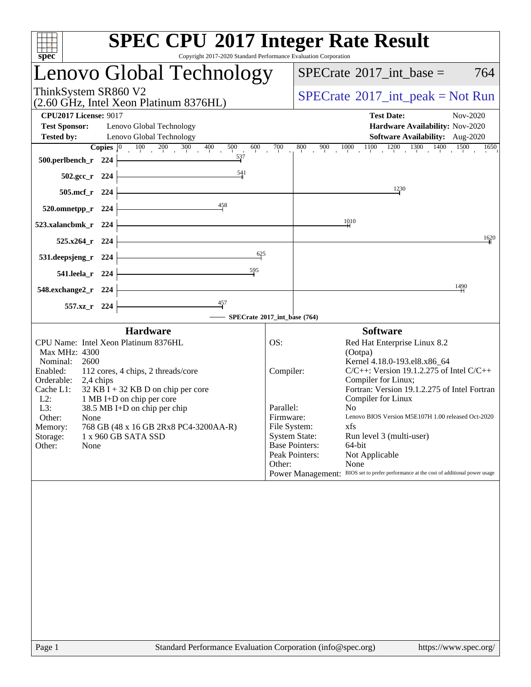| spec <sup>®</sup>                                                                                                                                                                                                                                                                                                                                                                                                    | <b>SPEC CPU®2017 Integer Rate Result</b><br>Copyright 2017-2020 Standard Performance Evaluation Corporation                                                                                                                                                                                                                                                                                                                                                                                                                                                                                               |
|----------------------------------------------------------------------------------------------------------------------------------------------------------------------------------------------------------------------------------------------------------------------------------------------------------------------------------------------------------------------------------------------------------------------|-----------------------------------------------------------------------------------------------------------------------------------------------------------------------------------------------------------------------------------------------------------------------------------------------------------------------------------------------------------------------------------------------------------------------------------------------------------------------------------------------------------------------------------------------------------------------------------------------------------|
| Lenovo Global Technology                                                                                                                                                                                                                                                                                                                                                                                             | $SPECTate$ <sup>®</sup> 2017_int_base =<br>764                                                                                                                                                                                                                                                                                                                                                                                                                                                                                                                                                            |
| ThinkSystem SR860 V2<br>(2.60 GHz, Intel Xeon Platinum 8376HL)                                                                                                                                                                                                                                                                                                                                                       | $SPECTate@2017_int\_peak = Not Run$                                                                                                                                                                                                                                                                                                                                                                                                                                                                                                                                                                       |
| <b>CPU2017 License: 9017</b><br><b>Test Sponsor:</b><br>Lenovo Global Technology<br><b>Tested by:</b><br>Lenovo Global Technology                                                                                                                                                                                                                                                                                    | <b>Test Date:</b><br>Nov-2020<br>Hardware Availability: Nov-2020<br>Software Availability: Aug-2020                                                                                                                                                                                                                                                                                                                                                                                                                                                                                                       |
| <b>Copies</b> $\begin{bmatrix} 0 & 100 & 200 & 300 & 400 \end{bmatrix}$<br>500<br>600<br>537<br>500.perlbench_r 224<br>$\frac{541}{1}$<br>502.gcc_r 224                                                                                                                                                                                                                                                              | $\frac{800}{100}$ $\frac{900}{1000}$ $\frac{1000}{100}$ $\frac{1100}{100}$ $\frac{1200}{100}$ $\frac{1300}{100}$ $\frac{1400}{100}$<br>700<br>1650                                                                                                                                                                                                                                                                                                                                                                                                                                                        |
| 505.mcf_r 224                                                                                                                                                                                                                                                                                                                                                                                                        | 1230                                                                                                                                                                                                                                                                                                                                                                                                                                                                                                                                                                                                      |
| 458<br>520.omnetpp_r 224<br>523.xalancbmk_r 224                                                                                                                                                                                                                                                                                                                                                                      | 1010                                                                                                                                                                                                                                                                                                                                                                                                                                                                                                                                                                                                      |
| 525.x264_r 224                                                                                                                                                                                                                                                                                                                                                                                                       | 1620                                                                                                                                                                                                                                                                                                                                                                                                                                                                                                                                                                                                      |
| 625<br>531.deepsjeng_r 224                                                                                                                                                                                                                                                                                                                                                                                           |                                                                                                                                                                                                                                                                                                                                                                                                                                                                                                                                                                                                           |
| 595<br>541.leela_r 224<br>548.exchange2_r 224                                                                                                                                                                                                                                                                                                                                                                        | 1490                                                                                                                                                                                                                                                                                                                                                                                                                                                                                                                                                                                                      |
| 557.xz_r 224                                                                                                                                                                                                                                                                                                                                                                                                         | SPECrate®2017_int_base (764)                                                                                                                                                                                                                                                                                                                                                                                                                                                                                                                                                                              |
| <b>Hardware</b>                                                                                                                                                                                                                                                                                                                                                                                                      | <b>Software</b>                                                                                                                                                                                                                                                                                                                                                                                                                                                                                                                                                                                           |
| CPU Name: Intel Xeon Platinum 8376HL<br>Max MHz: 4300<br>2600<br>Nominal:<br>Enabled:<br>112 cores, 4 chips, 2 threads/core<br>Orderable:<br>2,4 chips<br>$32$ KB I + 32 KB D on chip per core<br>Cache L1:<br>$L2$ :<br>1 MB I+D on chip per core<br>L3:<br>38.5 MB I+D on chip per chip<br>Other:<br>None<br>768 GB (48 x 16 GB 2Rx8 PC4-3200AA-R)<br>Memory:<br>1 x 960 GB SATA SSD<br>Storage:<br>Other:<br>None | OS:<br>Red Hat Enterprise Linux 8.2<br>(Ootpa)<br>Kernel 4.18.0-193.el8.x86 64<br>$C/C++$ : Version 19.1.2.275 of Intel $C/C++$<br>Compiler:<br>Compiler for Linux;<br>Fortran: Version 19.1.2.275 of Intel Fortran<br>Compiler for Linux<br>Parallel:<br>N <sub>0</sub><br>Lenovo BIOS Version M5E107H 1.00 released Oct-2020<br>Firmware:<br>File System:<br>xfs<br><b>System State:</b><br>Run level 3 (multi-user)<br><b>Base Pointers:</b><br>64-bit<br>Peak Pointers:<br>Not Applicable<br>Other:<br>None<br>Power Management: BIOS set to prefer performance at the cost of additional power usage |
|                                                                                                                                                                                                                                                                                                                                                                                                                      |                                                                                                                                                                                                                                                                                                                                                                                                                                                                                                                                                                                                           |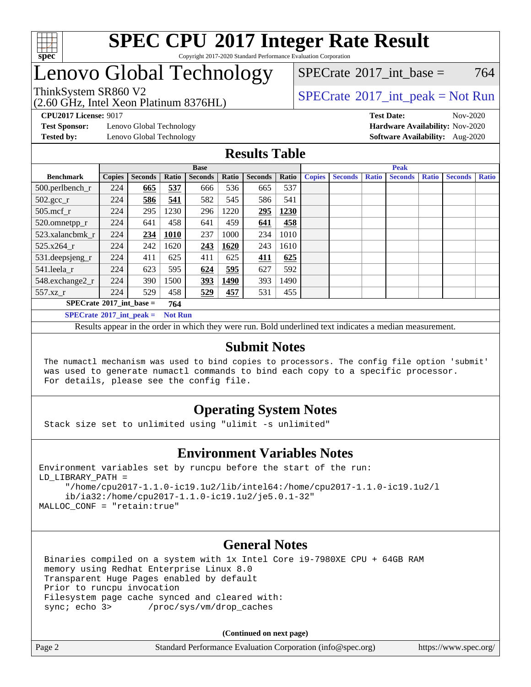

#### **[SPEC CPU](http://www.spec.org/auto/cpu2017/Docs/result-fields.html#SPECCPU2017IntegerRateResult)[2017 Integer Rate Result](http://www.spec.org/auto/cpu2017/Docs/result-fields.html#SPECCPU2017IntegerRateResult)** Copyright 2017-2020 Standard Performance Evaluation Corporation

## Lenovo Global Technology

(2.60 GHz, Intel Xeon Platinum 8376HL)

[SPECrate](http://www.spec.org/auto/cpu2017/Docs/result-fields.html#SPECrate2017intbase)<sup>®</sup>2017 int base = 764

### ThinkSystem SR860 V2<br>  $\begin{array}{c} \text{SPECrate} \textcirc 2017\_int\_peak = Not Run \end{array}$  $\begin{array}{c} \text{SPECrate} \textcirc 2017\_int\_peak = Not Run \end{array}$  $\begin{array}{c} \text{SPECrate} \textcirc 2017\_int\_peak = Not Run \end{array}$

**[Test Sponsor:](http://www.spec.org/auto/cpu2017/Docs/result-fields.html#TestSponsor)** Lenovo Global Technology **[Hardware Availability:](http://www.spec.org/auto/cpu2017/Docs/result-fields.html#HardwareAvailability)** Nov-2020

**[CPU2017 License:](http://www.spec.org/auto/cpu2017/Docs/result-fields.html#CPU2017License)** 9017 **[Test Date:](http://www.spec.org/auto/cpu2017/Docs/result-fields.html#TestDate)** Nov-2020 **[Tested by:](http://www.spec.org/auto/cpu2017/Docs/result-fields.html#Testedby)** Lenovo Global Technology **[Software Availability:](http://www.spec.org/auto/cpu2017/Docs/result-fields.html#SoftwareAvailability)** Aug-2020

#### **[Results Table](http://www.spec.org/auto/cpu2017/Docs/result-fields.html#ResultsTable)**

|                                                     | <b>Base</b>   |                |              |                |       | <b>Peak</b>    |       |               |                |              |                |              |                |              |
|-----------------------------------------------------|---------------|----------------|--------------|----------------|-------|----------------|-------|---------------|----------------|--------------|----------------|--------------|----------------|--------------|
| <b>Benchmark</b>                                    | <b>Copies</b> | <b>Seconds</b> | <b>Ratio</b> | <b>Seconds</b> | Ratio | <b>Seconds</b> | Ratio | <b>Copies</b> | <b>Seconds</b> | <b>Ratio</b> | <b>Seconds</b> | <b>Ratio</b> | <b>Seconds</b> | <b>Ratio</b> |
| $500.$ perlbench_r                                  | 224           | 665            | 537          | 666            | 536   | 665            | 537   |               |                |              |                |              |                |              |
| $502.\text{gcc}$ <sub>r</sub>                       | 224           | 586            | 541          | 582            | 545   | 586            | 541   |               |                |              |                |              |                |              |
| $505$ .mcf r                                        | 224           | 295            | 1230         | 296            | 1220  | 295            | 1230  |               |                |              |                |              |                |              |
| 520.omnetpp_r                                       | 224           | 641            | 458          | 641            | 459   | 641            | 458   |               |                |              |                |              |                |              |
| 523.xalancbmk r                                     | 224           | 234            | 1010         | 237            | 1000  | 234            | 1010  |               |                |              |                |              |                |              |
| 525.x264 r                                          | 224           | 242            | 1620         | 243            | 1620  | 243            | 1610  |               |                |              |                |              |                |              |
| 531.deepsjeng_r                                     | 224           | 411            | 625          | 411            | 625   | 411            | 625   |               |                |              |                |              |                |              |
| 541.leela r                                         | 224           | 623            | 595          | 624            | 595   | 627            | 592   |               |                |              |                |              |                |              |
| 548.exchange2_r                                     | 224           | 390            | 1500         | <u>393</u>     | 1490  | 393            | 1490  |               |                |              |                |              |                |              |
| 557.xz r                                            | 224           | 529            | 458          | 529            | 457   | 531            | 455   |               |                |              |                |              |                |              |
| $SPECrate^{\circ}2017$ int base =<br>764            |               |                |              |                |       |                |       |               |                |              |                |              |                |              |
| $SPECrate^{\circ}2017$ int peak =<br><b>Not Run</b> |               |                |              |                |       |                |       |               |                |              |                |              |                |              |

Results appear in the [order in which they were run](http://www.spec.org/auto/cpu2017/Docs/result-fields.html#RunOrder). Bold underlined text [indicates a median measurement](http://www.spec.org/auto/cpu2017/Docs/result-fields.html#Median).

#### **[Submit Notes](http://www.spec.org/auto/cpu2017/Docs/result-fields.html#SubmitNotes)**

 The numactl mechanism was used to bind copies to processors. The config file option 'submit' was used to generate numactl commands to bind each copy to a specific processor. For details, please see the config file.

### **[Operating System Notes](http://www.spec.org/auto/cpu2017/Docs/result-fields.html#OperatingSystemNotes)**

Stack size set to unlimited using "ulimit -s unlimited"

### **[Environment Variables Notes](http://www.spec.org/auto/cpu2017/Docs/result-fields.html#EnvironmentVariablesNotes)**

```
Environment variables set by runcpu before the start of the run:
LD_LIBRARY_PATH =
      "/home/cpu2017-1.1.0-ic19.1u2/lib/intel64:/home/cpu2017-1.1.0-ic19.1u2/l
      ib/ia32:/home/cpu2017-1.1.0-ic19.1u2/je5.0.1-32"
MALLOC_CONF = "retain:true"
```
#### **[General Notes](http://www.spec.org/auto/cpu2017/Docs/result-fields.html#GeneralNotes)**

 Binaries compiled on a system with 1x Intel Core i9-7980XE CPU + 64GB RAM memory using Redhat Enterprise Linux 8.0 Transparent Huge Pages enabled by default Prior to runcpu invocation Filesystem page cache synced and cleared with: sync; echo 3> /proc/sys/vm/drop\_caches

**(Continued on next page)**

| Page 2 | Standard Performance Evaluation Corporation (info@spec.org) | https://www.spec.org/ |
|--------|-------------------------------------------------------------|-----------------------|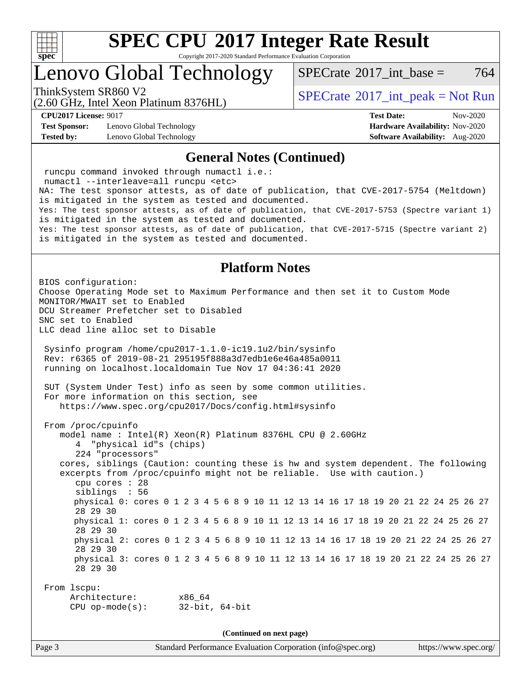

Copyright 2017-2020 Standard Performance Evaluation Corporation

### Lenovo Global Technology

[SPECrate](http://www.spec.org/auto/cpu2017/Docs/result-fields.html#SPECrate2017intbase)<sup>®</sup>2017 int base = 764

(2.60 GHz, Intel Xeon Platinum 8376HL)

ThinkSystem SR860 V2<br>  $\begin{array}{c} \text{SPECrate} \textcirc 2017\_int\_peak = Not Run \end{array}$  $\begin{array}{c} \text{SPECrate} \textcirc 2017\_int\_peak = Not Run \end{array}$  $\begin{array}{c} \text{SPECrate} \textcirc 2017\_int\_peak = Not Run \end{array}$ 

**[Test Sponsor:](http://www.spec.org/auto/cpu2017/Docs/result-fields.html#TestSponsor)** Lenovo Global Technology **[Hardware Availability:](http://www.spec.org/auto/cpu2017/Docs/result-fields.html#HardwareAvailability)** Nov-2020 **[Tested by:](http://www.spec.org/auto/cpu2017/Docs/result-fields.html#Testedby)** Lenovo Global Technology **[Software Availability:](http://www.spec.org/auto/cpu2017/Docs/result-fields.html#SoftwareAvailability)** Aug-2020

**[CPU2017 License:](http://www.spec.org/auto/cpu2017/Docs/result-fields.html#CPU2017License)** 9017 **[Test Date:](http://www.spec.org/auto/cpu2017/Docs/result-fields.html#TestDate)** Nov-2020

#### **[General Notes \(Continued\)](http://www.spec.org/auto/cpu2017/Docs/result-fields.html#GeneralNotes)**

 runcpu command invoked through numactl i.e.: numactl --interleave=all runcpu <etc> NA: The test sponsor attests, as of date of publication, that CVE-2017-5754 (Meltdown) is mitigated in the system as tested and documented. Yes: The test sponsor attests, as of date of publication, that CVE-2017-5753 (Spectre variant 1) is mitigated in the system as tested and documented. Yes: The test sponsor attests, as of date of publication, that CVE-2017-5715 (Spectre variant 2) is mitigated in the system as tested and documented. **[Platform Notes](http://www.spec.org/auto/cpu2017/Docs/result-fields.html#PlatformNotes)** BIOS configuration: Choose Operating Mode set to Maximum Performance and then set it to Custom Mode MONITOR/MWAIT set to Enabled DCU Streamer Prefetcher set to Disabled SNC set to Enabled LLC dead line alloc set to Disable Sysinfo program /home/cpu2017-1.1.0-ic19.1u2/bin/sysinfo Rev: r6365 of 2019-08-21 295195f888a3d7edb1e6e46a485a0011 running on localhost.localdomain Tue Nov 17 04:36:41 2020 SUT (System Under Test) info as seen by some common utilities. For more information on this section, see <https://www.spec.org/cpu2017/Docs/config.html#sysinfo> From /proc/cpuinfo model name : Intel(R) Xeon(R) Platinum 8376HL CPU @ 2.60GHz 4 "physical id"s (chips) 224 "processors" cores, siblings (Caution: counting these is hw and system dependent. The following excerpts from /proc/cpuinfo might not be reliable. Use with caution.) cpu cores : 28 siblings : 56 physical 0: cores 0 1 2 3 4 5 6 8 9 10 11 12 13 14 16 17 18 19 20 21 22 24 25 26 27 28 29 30 physical 1: cores 0 1 2 3 4 5 6 8 9 10 11 12 13 14 16 17 18 19 20 21 22 24 25 26 27 28 29 30 physical 2: cores 0 1 2 3 4 5 6 8 9 10 11 12 13 14 16 17 18 19 20 21 22 24 25 26 27 28 29 30 physical 3: cores 0 1 2 3 4 5 6 8 9 10 11 12 13 14 16 17 18 19 20 21 22 24 25 26 27 28 29 30 From lscpu: Architecture: x86\_64 CPU op-mode(s): 32-bit, 64-bit **(Continued on next page)**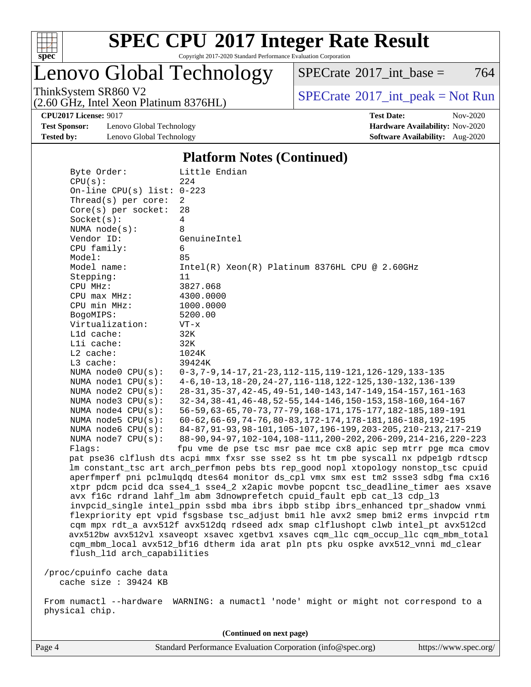

Copyright 2017-2020 Standard Performance Evaluation Corporation

Lenovo Global Technology

 $SPECTate$ <sup>®</sup>[2017\\_int\\_base =](http://www.spec.org/auto/cpu2017/Docs/result-fields.html#SPECrate2017intbase) 764

(2.60 GHz, Intel Xeon Platinum 8376HL)

ThinkSystem SR860 V2<br>  $\begin{array}{c} \text{SPECrate} \textcirc 2017\_int\_peak = Not Run \end{array}$  $\begin{array}{c} \text{SPECrate} \textcirc 2017\_int\_peak = Not Run \end{array}$  $\begin{array}{c} \text{SPECrate} \textcirc 2017\_int\_peak = Not Run \end{array}$ 

**[Test Sponsor:](http://www.spec.org/auto/cpu2017/Docs/result-fields.html#TestSponsor)** Lenovo Global Technology **[Hardware Availability:](http://www.spec.org/auto/cpu2017/Docs/result-fields.html#HardwareAvailability)** Nov-2020 **[Tested by:](http://www.spec.org/auto/cpu2017/Docs/result-fields.html#Testedby)** Lenovo Global Technology **[Software Availability:](http://www.spec.org/auto/cpu2017/Docs/result-fields.html#SoftwareAvailability)** Aug-2020

**[CPU2017 License:](http://www.spec.org/auto/cpu2017/Docs/result-fields.html#CPU2017License)** 9017 **[Test Date:](http://www.spec.org/auto/cpu2017/Docs/result-fields.html#TestDate)** Nov-2020

#### **[Platform Notes \(Continued\)](http://www.spec.org/auto/cpu2017/Docs/result-fields.html#PlatformNotes)**

| Byte Order:                  | Little Endian                                                                                                                                                                                                                                                                                                      |
|------------------------------|--------------------------------------------------------------------------------------------------------------------------------------------------------------------------------------------------------------------------------------------------------------------------------------------------------------------|
| CPU(s):                      | 224                                                                                                                                                                                                                                                                                                                |
| On-line CPU(s) list: $0-223$ |                                                                                                                                                                                                                                                                                                                    |
| Thread(s) per core:          | 2                                                                                                                                                                                                                                                                                                                  |
| Core(s) per socket:          | 28                                                                                                                                                                                                                                                                                                                 |
| Socket(s):                   | $\overline{4}$                                                                                                                                                                                                                                                                                                     |
| NUMA $node(s):$              | 8                                                                                                                                                                                                                                                                                                                  |
| Vendor ID:                   | GenuineIntel                                                                                                                                                                                                                                                                                                       |
| CPU family:                  | 6                                                                                                                                                                                                                                                                                                                  |
| Model:                       | 85                                                                                                                                                                                                                                                                                                                 |
| Model name:                  | Intel(R) Xeon(R) Platinum 8376HL CPU @ 2.60GHz                                                                                                                                                                                                                                                                     |
| Stepping:                    | 11                                                                                                                                                                                                                                                                                                                 |
| CPU MHz:                     | 3827.068                                                                                                                                                                                                                                                                                                           |
| CPU max MHz:                 | 4300.0000                                                                                                                                                                                                                                                                                                          |
| CPU min MHz:                 | 1000.0000                                                                                                                                                                                                                                                                                                          |
| BogoMIPS:                    | 5200.00                                                                                                                                                                                                                                                                                                            |
| Virtualization:              | $VT - x$                                                                                                                                                                                                                                                                                                           |
| L1d cache:                   | 32K                                                                                                                                                                                                                                                                                                                |
| Lli cache:                   | 32K                                                                                                                                                                                                                                                                                                                |
| $L2$ cache:                  | 1024K                                                                                                                                                                                                                                                                                                              |
| L3 cache:                    | 39424K                                                                                                                                                                                                                                                                                                             |
| NUMA node0 CPU(s):           | 0-3, 7-9, 14-17, 21-23, 112-115, 119-121, 126-129, 133-135                                                                                                                                                                                                                                                         |
| NUMA $node1$ $CPU(s)$ :      | 4-6, 10-13, 18-20, 24-27, 116-118, 122-125, 130-132, 136-139                                                                                                                                                                                                                                                       |
| NUMA $node2$ $CPU(s)$ :      | 28-31, 35-37, 42-45, 49-51, 140-143, 147-149, 154-157, 161-163                                                                                                                                                                                                                                                     |
| NUMA node3 CPU(s):           | 32-34, 38-41, 46-48, 52-55, 144-146, 150-153, 158-160, 164-167                                                                                                                                                                                                                                                     |
| NUMA node4 CPU(s):           | 56-59, 63-65, 70-73, 77-79, 168-171, 175-177, 182-185, 189-191                                                                                                                                                                                                                                                     |
| NUMA node5 CPU(s):           | 60-62, 66-69, 74-76, 80-83, 172-174, 178-181, 186-188, 192-195                                                                                                                                                                                                                                                     |
| NUMA $node6$ $CPU(s):$       | 84-87, 91-93, 98-101, 105-107, 196-199, 203-205, 210-213, 217-219                                                                                                                                                                                                                                                  |
| NUMA $node7$ CPU $(s)$ :     | 88-90, 94-97, 102-104, 108-111, 200-202, 206-209, 214-216, 220-223                                                                                                                                                                                                                                                 |
| Flaqs:                       | fpu vme de pse tsc msr pae mce cx8 apic sep mtrr pge mca cmov                                                                                                                                                                                                                                                      |
|                              | pat pse36 clflush dts acpi mmx fxsr sse sse2 ss ht tm pbe syscall nx pdpe1gb rdtscp                                                                                                                                                                                                                                |
|                              | lm constant_tsc art arch_perfmon pebs bts rep_good nopl xtopology nonstop_tsc cpuid                                                                                                                                                                                                                                |
|                              | aperfmperf pni pclmulqdq dtes64 monitor ds_cpl vmx smx est tm2 ssse3 sdbg fma cx16                                                                                                                                                                                                                                 |
|                              | xtpr pdcm pcid dca sse4_1 sse4_2 x2apic movbe popcnt tsc_deadline_timer aes xsave                                                                                                                                                                                                                                  |
|                              | avx f16c rdrand lahf_lm abm 3dnowprefetch cpuid_fault epb cat_13 cdp_13                                                                                                                                                                                                                                            |
|                              | invpcid_single intel_ppin ssbd mba ibrs ibpb stibp ibrs_enhanced tpr_shadow vnmi                                                                                                                                                                                                                                   |
|                              | flexpriority ept vpid fsgsbase tsc_adjust bmil hle avx2 smep bmi2 erms invpcid rtm                                                                                                                                                                                                                                 |
|                              | cqm mpx rdt_a avx512f avx512dq rdseed adx smap clflushopt clwb intel_pt avx512cd                                                                                                                                                                                                                                   |
|                              | avx512bw avx512vl xsaveopt xsavec xgetbvl xsaves cqm_llc cqm_occup_llc cqm_mbm_total                                                                                                                                                                                                                               |
|                              | cqm_mbm_local avx512_bf16 dtherm ida arat pln pts pku ospke avx512_vnni md_clear                                                                                                                                                                                                                                   |
| flush_11d arch_capabilities  |                                                                                                                                                                                                                                                                                                                    |
| /proc/cpuinfo cache data     |                                                                                                                                                                                                                                                                                                                    |
| cache size : 39424 KB        |                                                                                                                                                                                                                                                                                                                    |
|                              |                                                                                                                                                                                                                                                                                                                    |
|                              | $\ldots$ and $\mathbf{1}$ are $\mathbf{1}$ and $\mathbf{1}$ are $\mathbf{1}$ are $\mathbf{1}$ and $\mathbf{1}$ are $\mathbf{1}$ and $\mathbf{1}$ are $\mathbf{1}$ and $\mathbf{1}$ are $\mathbf{1}$ and $\mathbf{1}$ are $\mathbf{1}$ and $\mathbf{1}$ are $\mathbf{1}$ and $\mathbf{1}$ are $\math$<br>. <u>.</u> |

 From numactl --hardware WARNING: a numactl 'node' might or might not correspond to a physical chip.

**(Continued on next page)**

Page 4 Standard Performance Evaluation Corporation [\(info@spec.org\)](mailto:info@spec.org) <https://www.spec.org/>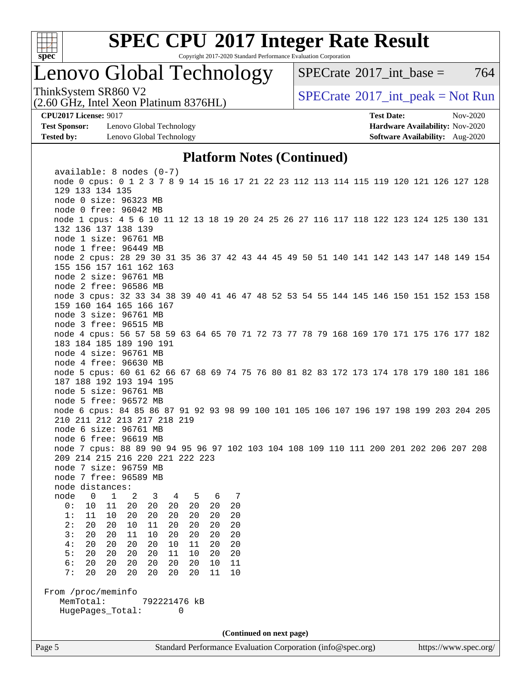

Copyright 2017-2020 Standard Performance Evaluation Corporation

## Lenovo Global Technology

[SPECrate](http://www.spec.org/auto/cpu2017/Docs/result-fields.html#SPECrate2017intbase)<sup>®</sup>2017 int base = 764

(2.60 GHz, Intel Xeon Platinum 8376HL)

ThinkSystem SR860 V2<br>  $\begin{array}{c} \text{SPECrate} \textcirc 2017\_int\_peak = Not Run \end{array}$  $\begin{array}{c} \text{SPECrate} \textcirc 2017\_int\_peak = Not Run \end{array}$  $\begin{array}{c} \text{SPECrate} \textcirc 2017\_int\_peak = Not Run \end{array}$ 

**[Test Sponsor:](http://www.spec.org/auto/cpu2017/Docs/result-fields.html#TestSponsor)** Lenovo Global Technology **[Hardware Availability:](http://www.spec.org/auto/cpu2017/Docs/result-fields.html#HardwareAvailability)** Nov-2020 **[Tested by:](http://www.spec.org/auto/cpu2017/Docs/result-fields.html#Testedby)** Lenovo Global Technology **[Software Availability:](http://www.spec.org/auto/cpu2017/Docs/result-fields.html#SoftwareAvailability)** Aug-2020

**[CPU2017 License:](http://www.spec.org/auto/cpu2017/Docs/result-fields.html#CPU2017License)** 9017 **[Test Date:](http://www.spec.org/auto/cpu2017/Docs/result-fields.html#TestDate)** Nov-2020

#### **[Platform Notes \(Continued\)](http://www.spec.org/auto/cpu2017/Docs/result-fields.html#PlatformNotes)**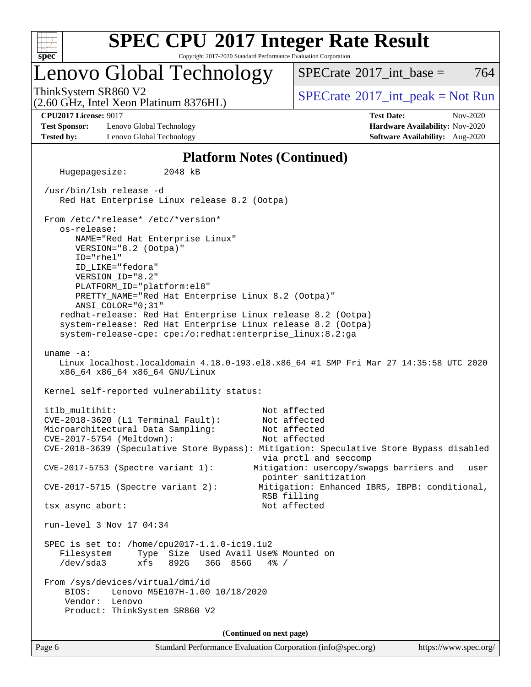

Copyright 2017-2020 Standard Performance Evaluation Corporation

### Lenovo Global Technology

ThinkSystem SR860 V2<br>  $\begin{array}{c} \text{SPECrate} \textcirc 2017\_int\_peak = Not Run \end{array}$  $\begin{array}{c} \text{SPECrate} \textcirc 2017\_int\_peak = Not Run \end{array}$  $\begin{array}{c} \text{SPECrate} \textcirc 2017\_int\_peak = Not Run \end{array}$ [SPECrate](http://www.spec.org/auto/cpu2017/Docs/result-fields.html#SPECrate2017intbase)<sup>®</sup>2017 int base =  $764$ 

(2.60 GHz, Intel Xeon Platinum 8376HL)

**[Test Sponsor:](http://www.spec.org/auto/cpu2017/Docs/result-fields.html#TestSponsor)** Lenovo Global Technology **[Hardware Availability:](http://www.spec.org/auto/cpu2017/Docs/result-fields.html#HardwareAvailability)** Nov-2020 **[Tested by:](http://www.spec.org/auto/cpu2017/Docs/result-fields.html#Testedby)** Lenovo Global Technology **[Software Availability:](http://www.spec.org/auto/cpu2017/Docs/result-fields.html#SoftwareAvailability)** Aug-2020

**[CPU2017 License:](http://www.spec.org/auto/cpu2017/Docs/result-fields.html#CPU2017License)** 9017 **[Test Date:](http://www.spec.org/auto/cpu2017/Docs/result-fields.html#TestDate)** Nov-2020

#### **[Platform Notes \(Continued\)](http://www.spec.org/auto/cpu2017/Docs/result-fields.html#PlatformNotes)**

Page 6 Standard Performance Evaluation Corporation [\(info@spec.org\)](mailto:info@spec.org) <https://www.spec.org/> Hugepagesize: 2048 kB /usr/bin/lsb\_release -d Red Hat Enterprise Linux release 8.2 (Ootpa) From /etc/\*release\* /etc/\*version\* os-release: NAME="Red Hat Enterprise Linux" VERSION="8.2 (Ootpa)" ID="rhel" ID\_LIKE="fedora" VERSION\_ID="8.2" PLATFORM\_ID="platform:el8" PRETTY\_NAME="Red Hat Enterprise Linux 8.2 (Ootpa)" ANSI\_COLOR="0;31" redhat-release: Red Hat Enterprise Linux release 8.2 (Ootpa) system-release: Red Hat Enterprise Linux release 8.2 (Ootpa) system-release-cpe: cpe:/o:redhat:enterprise\_linux:8.2:ga uname -a: Linux localhost.localdomain 4.18.0-193.el8.x86\_64 #1 SMP Fri Mar 27 14:35:58 UTC 2020 x86\_64 x86\_64 x86\_64 GNU/Linux Kernel self-reported vulnerability status: itlb\_multihit: Not affected CVE-2018-3620 (L1 Terminal Fault): Not affected Microarchitectural Data Sampling: Not affected CVE-2017-5754 (Meltdown): Not affected CVE-2018-3639 (Speculative Store Bypass): Mitigation: Speculative Store Bypass disabled via prctl and seccomp CVE-2017-5753 (Spectre variant 1): Mitigation: usercopy/swapgs barriers and \_\_user pointer sanitization CVE-2017-5715 (Spectre variant 2): Mitigation: Enhanced IBRS, IBPB: conditional, RSB filling tsx\_async\_abort: Not affected run-level 3 Nov 17 04:34 SPEC is set to: /home/cpu2017-1.1.0-ic19.1u2 Filesystem Type Size Used Avail Use% Mounted on /dev/sda3 xfs 892G 36G 856G 4% / From /sys/devices/virtual/dmi/id BIOS: Lenovo M5E107H-1.00 10/18/2020 Vendor: Lenovo Product: ThinkSystem SR860 V2 **(Continued on next page)**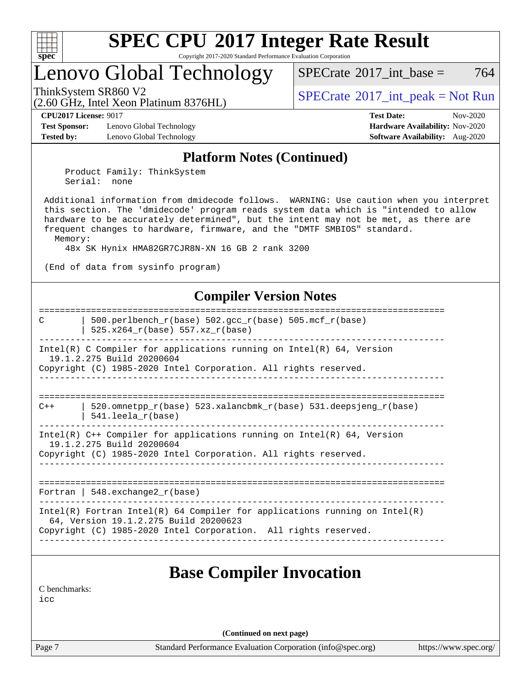

Copyright 2017-2020 Standard Performance Evaluation Corporation

## Lenovo Global Technology

ThinkSystem SR860 V2<br>  $\begin{array}{c} \text{SPECTI}_{\text{S}} \text{SFR} = \text{Not Run} \\ \text{SPECTI}_{\text{S}} \text{SFR} = \text{Not Run} \end{array}$ 

[SPECrate](http://www.spec.org/auto/cpu2017/Docs/result-fields.html#SPECrate2017intbase)<sup>®</sup>2017 int base =  $764$ 

(2.60 GHz, Intel Xeon Platinum 8376HL)

**[Test Sponsor:](http://www.spec.org/auto/cpu2017/Docs/result-fields.html#TestSponsor)** Lenovo Global Technology **[Hardware Availability:](http://www.spec.org/auto/cpu2017/Docs/result-fields.html#HardwareAvailability)** Nov-2020 **[Tested by:](http://www.spec.org/auto/cpu2017/Docs/result-fields.html#Testedby)** Lenovo Global Technology **[Software Availability:](http://www.spec.org/auto/cpu2017/Docs/result-fields.html#SoftwareAvailability)** Aug-2020

**[CPU2017 License:](http://www.spec.org/auto/cpu2017/Docs/result-fields.html#CPU2017License)** 9017 **[Test Date:](http://www.spec.org/auto/cpu2017/Docs/result-fields.html#TestDate)** Nov-2020

#### **[Platform Notes \(Continued\)](http://www.spec.org/auto/cpu2017/Docs/result-fields.html#PlatformNotes)**

 Product Family: ThinkSystem Serial: none

 Additional information from dmidecode follows. WARNING: Use caution when you interpret this section. The 'dmidecode' program reads system data which is "intended to allow hardware to be accurately determined", but the intent may not be met, as there are frequent changes to hardware, firmware, and the "DMTF SMBIOS" standard. Memory:

48x SK Hynix HMA82GR7CJR8N-XN 16 GB 2 rank 3200

(End of data from sysinfo program)

#### **[Compiler Version Notes](http://www.spec.org/auto/cpu2017/Docs/result-fields.html#CompilerVersionNotes)**

Page 7 Standard Performance Evaluation Corporation [\(info@spec.org\)](mailto:info@spec.org) <https://www.spec.org/> ============================================================================== C | 500.perlbench\_r(base) 502.gcc\_r(base) 505.mcf\_r(base) | 525.x264\_r(base) 557.xz\_r(base) ------------------------------------------------------------------------------ Intel(R) C Compiler for applications running on Intel(R) 64, Version 19.1.2.275 Build 20200604 Copyright (C) 1985-2020 Intel Corporation. All rights reserved. ------------------------------------------------------------------------------ ==============================================================================  $C++$  | 520.omnetpp  $r(base)$  523.xalancbmk  $r(base)$  531.deepsjeng  $r(base)$  | 541.leela\_r(base) ------------------------------------------------------------------------------ Intel(R)  $C++$  Compiler for applications running on Intel(R) 64, Version 19.1.2.275 Build 20200604 Copyright (C) 1985-2020 Intel Corporation. All rights reserved. ------------------------------------------------------------------------------ ============================================================================== Fortran | 548.exchange2 $r(base)$ ------------------------------------------------------------------------------ Intel(R) Fortran Intel(R) 64 Compiler for applications running on Intel(R) 64, Version 19.1.2.275 Build 20200623 Copyright (C) 1985-2020 Intel Corporation. All rights reserved. ------------------------------------------------------------------------------ **[Base Compiler Invocation](http://www.spec.org/auto/cpu2017/Docs/result-fields.html#BaseCompilerInvocation)** [C benchmarks](http://www.spec.org/auto/cpu2017/Docs/result-fields.html#Cbenchmarks):  $i$ cc **(Continued on next page)**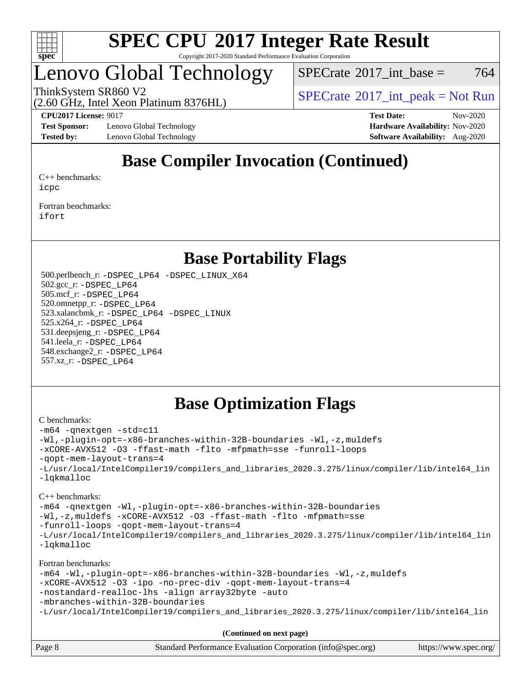

#### **[SPEC CPU](http://www.spec.org/auto/cpu2017/Docs/result-fields.html#SPECCPU2017IntegerRateResult)[2017 Integer Rate Result](http://www.spec.org/auto/cpu2017/Docs/result-fields.html#SPECCPU2017IntegerRateResult)** Copyright 2017-2020 Standard Performance Evaluation Corporation

### Lenovo Global Technology

 $SPECTate$ <sup>®</sup>[2017\\_int\\_base =](http://www.spec.org/auto/cpu2017/Docs/result-fields.html#SPECrate2017intbase) 764

(2.60 GHz, Intel Xeon Platinum 8376HL)

ThinkSystem SR860 V2<br>  $\begin{array}{c} \text{SPECTI}_{\text{S}} \text{SFR} = \text{Not Run} \\ \text{SPECTI}_{\text{S}} \text{SFR} = \text{Not Run} \end{array}$ 

**[Test Sponsor:](http://www.spec.org/auto/cpu2017/Docs/result-fields.html#TestSponsor)** Lenovo Global Technology **[Hardware Availability:](http://www.spec.org/auto/cpu2017/Docs/result-fields.html#HardwareAvailability)** Nov-2020 **[Tested by:](http://www.spec.org/auto/cpu2017/Docs/result-fields.html#Testedby)** Lenovo Global Technology **[Software Availability:](http://www.spec.org/auto/cpu2017/Docs/result-fields.html#SoftwareAvailability)** Aug-2020

**[CPU2017 License:](http://www.spec.org/auto/cpu2017/Docs/result-fields.html#CPU2017License)** 9017 **[Test Date:](http://www.spec.org/auto/cpu2017/Docs/result-fields.html#TestDate)** Nov-2020

### **[Base Compiler Invocation \(Continued\)](http://www.spec.org/auto/cpu2017/Docs/result-fields.html#BaseCompilerInvocation)**

[C++ benchmarks:](http://www.spec.org/auto/cpu2017/Docs/result-fields.html#CXXbenchmarks) [icpc](http://www.spec.org/cpu2017/results/res2020q4/cpu2017-20201123-24477.flags.html#user_CXXbase_intel_icpc_c510b6838c7f56d33e37e94d029a35b4a7bccf4766a728ee175e80a419847e808290a9b78be685c44ab727ea267ec2f070ec5dc83b407c0218cded6866a35d07)

[Fortran benchmarks](http://www.spec.org/auto/cpu2017/Docs/result-fields.html#Fortranbenchmarks): [ifort](http://www.spec.org/cpu2017/results/res2020q4/cpu2017-20201123-24477.flags.html#user_FCbase_intel_ifort_8111460550e3ca792625aed983ce982f94888b8b503583aa7ba2b8303487b4d8a21a13e7191a45c5fd58ff318f48f9492884d4413fa793fd88dd292cad7027ca)

### **[Base Portability Flags](http://www.spec.org/auto/cpu2017/Docs/result-fields.html#BasePortabilityFlags)**

 500.perlbench\_r: [-DSPEC\\_LP64](http://www.spec.org/cpu2017/results/res2020q4/cpu2017-20201123-24477.flags.html#b500.perlbench_r_basePORTABILITY_DSPEC_LP64) [-DSPEC\\_LINUX\\_X64](http://www.spec.org/cpu2017/results/res2020q4/cpu2017-20201123-24477.flags.html#b500.perlbench_r_baseCPORTABILITY_DSPEC_LINUX_X64) 502.gcc\_r: [-DSPEC\\_LP64](http://www.spec.org/cpu2017/results/res2020q4/cpu2017-20201123-24477.flags.html#suite_basePORTABILITY502_gcc_r_DSPEC_LP64) 505.mcf\_r: [-DSPEC\\_LP64](http://www.spec.org/cpu2017/results/res2020q4/cpu2017-20201123-24477.flags.html#suite_basePORTABILITY505_mcf_r_DSPEC_LP64) 520.omnetpp\_r: [-DSPEC\\_LP64](http://www.spec.org/cpu2017/results/res2020q4/cpu2017-20201123-24477.flags.html#suite_basePORTABILITY520_omnetpp_r_DSPEC_LP64) 523.xalancbmk\_r: [-DSPEC\\_LP64](http://www.spec.org/cpu2017/results/res2020q4/cpu2017-20201123-24477.flags.html#suite_basePORTABILITY523_xalancbmk_r_DSPEC_LP64) [-DSPEC\\_LINUX](http://www.spec.org/cpu2017/results/res2020q4/cpu2017-20201123-24477.flags.html#b523.xalancbmk_r_baseCXXPORTABILITY_DSPEC_LINUX) 525.x264\_r: [-DSPEC\\_LP64](http://www.spec.org/cpu2017/results/res2020q4/cpu2017-20201123-24477.flags.html#suite_basePORTABILITY525_x264_r_DSPEC_LP64) 531.deepsjeng\_r: [-DSPEC\\_LP64](http://www.spec.org/cpu2017/results/res2020q4/cpu2017-20201123-24477.flags.html#suite_basePORTABILITY531_deepsjeng_r_DSPEC_LP64) 541.leela\_r: [-DSPEC\\_LP64](http://www.spec.org/cpu2017/results/res2020q4/cpu2017-20201123-24477.flags.html#suite_basePORTABILITY541_leela_r_DSPEC_LP64) 548.exchange2\_r: [-DSPEC\\_LP64](http://www.spec.org/cpu2017/results/res2020q4/cpu2017-20201123-24477.flags.html#suite_basePORTABILITY548_exchange2_r_DSPEC_LP64) 557.xz\_r: [-DSPEC\\_LP64](http://www.spec.org/cpu2017/results/res2020q4/cpu2017-20201123-24477.flags.html#suite_basePORTABILITY557_xz_r_DSPEC_LP64)

### **[Base Optimization Flags](http://www.spec.org/auto/cpu2017/Docs/result-fields.html#BaseOptimizationFlags)**

#### [C benchmarks](http://www.spec.org/auto/cpu2017/Docs/result-fields.html#Cbenchmarks):

```
-m64 -qnextgen -std=c11
-Wl,-plugin-opt=-x86-branches-within-32B-boundaries -Wl,-z,muldefs
-xCORE-AVX512 -O3 -ffast-math -flto -mfpmath=sse -funroll-loops
-qopt-mem-layout-trans=4
-L/usr/local/IntelCompiler19/compilers_and_libraries_2020.3.275/linux/compiler/lib/intel64_lin
-lqkmalloc
```
#### [C++ benchmarks](http://www.spec.org/auto/cpu2017/Docs/result-fields.html#CXXbenchmarks):

```
-m64 -qnextgen -Wl,-plugin-opt=-x86-branches-within-32B-boundaries
-Wl,-z,muldefs -xCORE-AVX512 -O3 -ffast-math -flto -mfpmath=sse
-funroll-loops -qopt-mem-layout-trans=4
-L/usr/local/IntelCompiler19/compilers_and_libraries_2020.3.275/linux/compiler/lib/intel64_lin
-lqkmalloc
```
#### [Fortran benchmarks:](http://www.spec.org/auto/cpu2017/Docs/result-fields.html#Fortranbenchmarks)

```
-m64 -Wl,-plugin-opt=-x86-branches-within-32B-boundaries -Wl,-z,muldefs
-xCORE-AVX512 -O3 -ipo -no-prec-div -qopt-mem-layout-trans=4
-nostandard-realloc-lhs -align array32byte -auto
-mbranches-within-32B-boundaries
-L/usr/local/IntelCompiler19/compilers_and_libraries_2020.3.275/linux/compiler/lib/intel64_lin
```
**(Continued on next page)**

| Page 8 | Standard Performance Evaluation Corporation (info@spec.org) | https://www.spec.org/ |
|--------|-------------------------------------------------------------|-----------------------|